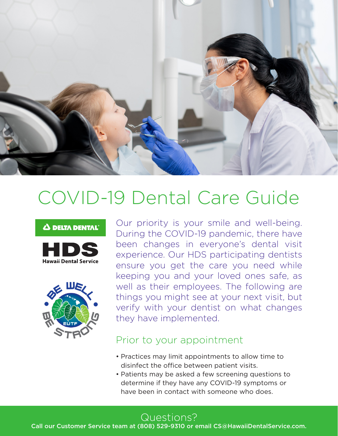

# COVID-19 Dental Care Guide

#### **0 DELTA DENTAL"**





Our priority is your smile and well-being. During the COVID-19 pandemic, there have been changes in everyone's dental visit experience. Our HDS participating dentists ensure you get the care you need while keeping you and your loved ones safe, as well as their employees. The following are things you might see at your next visit, but verify with your dentist on what changes they have implemented.

#### Prior to your appointment

- Practices may limit appointments to allow time to disinfect the office between patient visits.
- Patients may be asked a few screening questions to determine if they have any COVID-19 symptoms or have been in contact with someone who does.

Call our Customer Service team at (808) 529-9310 or email CS@HawaiiDentalService.com.